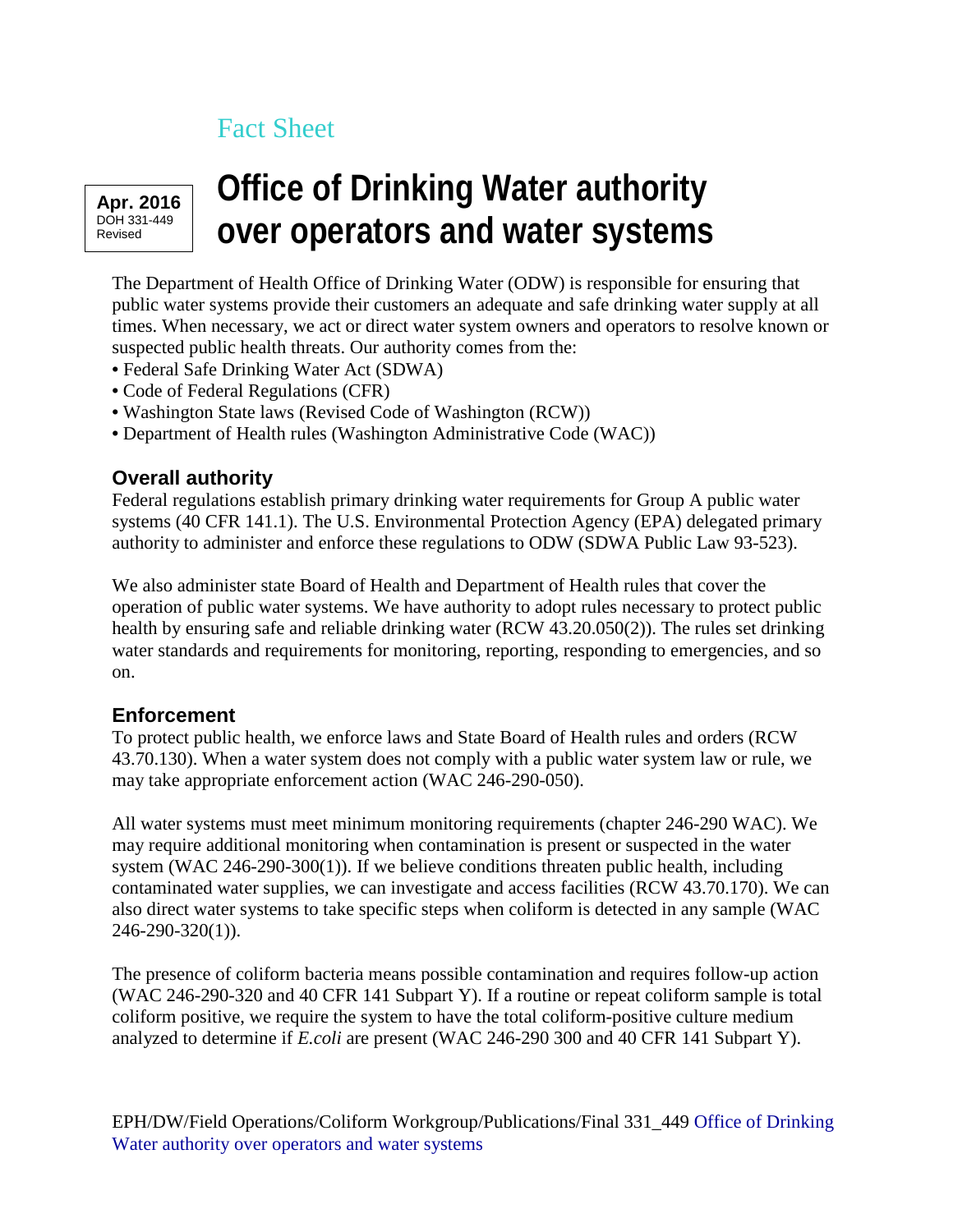## Fact Sheet

**Apr. 2016** DOH 331-449 Revised

## **Office of Drinking Water authority over operators and water systems**

The Department of Health Office of Drinking Water (ODW) is responsible for ensuring that public water systems provide their customers an adequate and safe drinking water supply at all times. When necessary, we act or direct water system owners and operators to resolve known or suspected public health threats. Our authority comes from the:

- Federal Safe Drinking Water Act (SDWA)
- Code of Federal Regulations (CFR)
- Washington State laws (Revised Code of Washington (RCW))
- Department of Health rules (Washington Administrative Code (WAC))

## **Overall authority**

Federal regulations establish primary drinking water requirements for Group A public water systems (40 CFR 141.1). The U.S. Environmental Protection Agency (EPA) delegated primary authority to administer and enforce these regulations to ODW (SDWA Public Law 93-523).

We also administer state Board of Health and Department of Health rules that cover the operation of public water systems. We have authority to adopt rules necessary to protect public health by ensuring safe and reliable drinking water (RCW 43.20.050(2)). The rules set drinking water standards and requirements for monitoring, reporting, responding to emergencies, and so on.

## **Enforcement**

To protect public health, we enforce laws and State Board of Health rules and orders (RCW 43.70.130). When a water system does not comply with a public water system law or rule, we may take appropriate enforcement action (WAC 246-290-050).

All water systems must meet minimum monitoring requirements (chapter 246-290 WAC). We may require additional monitoring when contamination is present or suspected in the water system (WAC 246-290-300(1)). If we believe conditions threaten public health, including contaminated water supplies, we can investigate and access facilities (RCW 43.70.170). We can also direct water systems to take specific steps when coliform is detected in any sample (WAC 246-290-320(1)).

The presence of coliform bacteria means possible contamination and requires follow-up action (WAC 246-290-320 and 40 CFR 141 Subpart Y). If a routine or repeat coliform sample is total coliform positive, we require the system to have the total coliform-positive culture medium analyzed to determine if *E.coli* are present (WAC 246-290 300 and 40 CFR 141 Subpart Y).

EPH/DW/Field Operations/Coliform Workgroup/Publications/Final 331\_449 [Office of Drinking](https://fortress.wa.gov/doh/eh/dw/publications/publications.cfm?action=pubdetail&type=number&PubId=571)  [Water authority over operators and water systems](https://fortress.wa.gov/doh/eh/dw/publications/publications.cfm?action=pubdetail&type=number&PubId=571)